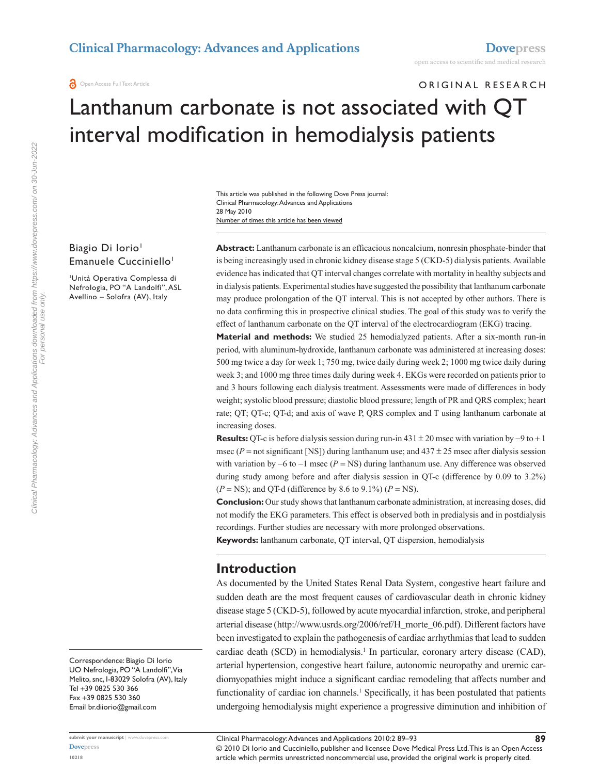## ORIGINAL RESEARCH

# Lanthanum carbonate is not associated with QT interval modification in hemodialysis patients

Number of times this article has been viewed This article was published in the following Dove Press journal: Clinical Pharmacology: Advances and Applications 28 May 2010

#### Biagio Di Iorio<sup>1</sup> Emanuele Cucciniello<sup>1</sup>

1 Unità Operativa Complessa di Nefrologia, PO "A Landolfi", ASL Avellino – Solofra (AV), Italy

**Abstract:** Lanthanum carbonate is an efficacious noncalcium, nonresin phosphate-binder that is being increasingly used in chronic kidney disease stage 5 (CKD-5) dialysis patients. Available evidence has indicated that QT interval changes correlate with mortality in healthy subjects and in dialysis patients. Experimental studies have suggested the possibility that lanthanum carbonate may produce prolongation of the QT interval. This is not accepted by other authors. There is no data confirming this in prospective clinical studies. The goal of this study was to verify the effect of lanthanum carbonate on the QT interval of the electrocardiogram (EKG) tracing.

**Material and methods:** We studied 25 hemodialyzed patients. After a six-month run-in period, with aluminum-hydroxide, lanthanum carbonate was administered at increasing doses: 500 mg twice a day for week 1; 750 mg, twice daily during week 2; 1000 mg twice daily during week 3; and 1000 mg three times daily during week 4. EKGs were recorded on patients prior to and 3 hours following each dialysis treatment. Assessments were made of differences in body weight; systolic blood pressure; diastolic blood pressure; length of PR and QRS complex; heart rate; QT; QT-c; QT-d; and axis of wave P, QRS complex and T using lanthanum carbonate at increasing doses.

**Results:** QT-c is before dialysis session during run-in  $431 \pm 20$  msec with variation by  $-9$  to  $+1$ msec ( $P =$ not significant [NS]) during lanthanum use; and  $437 \pm 25$  msec after dialysis session with variation by  $-6$  to  $-1$  msec ( $P = NS$ ) during lanthanum use. Any difference was observed during study among before and after dialysis session in QT-c (difference by 0.09 to 3.2%)  $(P = NS)$ ; and QT-d (difference by 8.6 to 9.1%)  $(P = NS)$ .

**Conclusion:** Our study shows that lanthanum carbonate administration, at increasing doses, did not modify the EKG parameters. This effect is observed both in predialysis and in postdialysis recordings. Further studies are necessary with more prolonged observations.

**Keywords:** lanthanum carbonate, QT interval, QT dispersion, hemodialysis

### **Introduction**

As documented by the United States Renal Data System, congestive heart failure and sudden death are the most frequent causes of cardiovascular death in chronic kidney disease stage 5 (CKD-5), followed by acute myocardial infarction, stroke, and peripheral arterial disease (http://www.usrds.org/2006/ref/H\_morte\_06.pdf). Different factors have been investigated to explain the pathogenesis of cardiac arrhythmias that lead to sudden cardiac death (SCD) in hemodialysis.<sup>1</sup> In particular, coronary artery disease (CAD), arterial hypertension, congestive heart failure, autonomic neuropathy and uremic cardiomyopathies might induce a significant cardiac remodeling that affects number and functionality of cardiac ion channels.<sup>1</sup> Specifically, it has been postulated that patients undergoing hemodialysis might experience a progressive diminution and inhibition of

Correspondence: Biagio Di Iorio UO Nefrologia, PO "A Landolfi", Via Melito, snc, I-83029 Solofra (AV), Italy Tel +39 0825 530 366 Fax +39 0825 530 360 Email br.diiorio@gmail.com

**submit your manuscript** | <www.dovepress.com>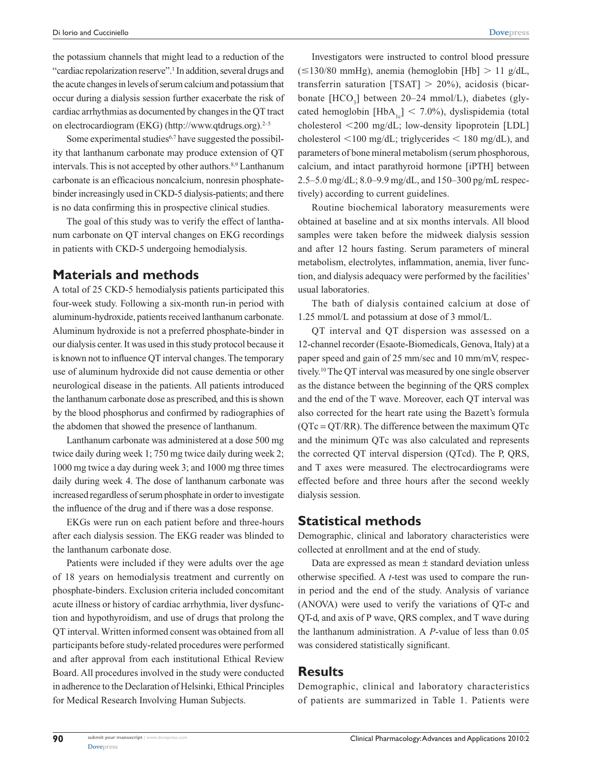the potassium channels that might lead to a reduction of the "cardiac repolarization reserve".<sup>1</sup> In addition, several drugs and the acute changes in levels of serum calcium and potassium that occur during a dialysis session further exacerbate the risk of cardiac arrhythmias as documented by changes in the QT tract on electrocardiogram (EKG) (http://www.qtdrugs.org). $2-5$ 

Some experimental studies $6,7$  have suggested the possibility that lanthanum carbonate may produce extension of QT intervals. This is not accepted by other authors.<sup>8,9</sup> Lanthanum carbonate is an efficacious noncalcium, nonresin phosphatebinder increasingly used in CKD-5 dialysis-patients; and there is no data confirming this in prospective clinical studies.

The goal of this study was to verify the effect of lanthanum carbonate on QT interval changes on EKG recordings in patients with CKD-5 undergoing hemodialysis.

#### **Materials and methods**

A total of 25 CKD-5 hemodialysis patients participated this four-week study. Following a six-month run-in period with aluminum-hydroxide, patients received lanthanum carbonate. Aluminum hydroxide is not a preferred phosphate-binder in our dialysis center. It was used in this study protocol because it is known not to influence QT interval changes. The temporary use of aluminum hydroxide did not cause dementia or other neurological disease in the patients. All patients introduced the lanthanum carbonate dose as prescribed, and this is shown by the blood phosphorus and confirmed by radiographies of the abdomen that showed the presence of lanthanum.

Lanthanum carbonate was administered at a dose 500 mg twice daily during week 1; 750 mg twice daily during week 2; 1000 mg twice a day during week 3; and 1000 mg three times daily during week 4. The dose of lanthanum carbonate was increased regardless of serum phosphate in order to investigate the influence of the drug and if there was a dose response.

EKGs were run on each patient before and three-hours after each dialysis session. The EKG reader was blinded to the lanthanum carbonate dose.

Patients were included if they were adults over the age of 18 years on hemodialysis treatment and currently on phosphate-binders. Exclusion criteria included concomitant acute illness or history of cardiac arrhythmia, liver dysfunction and hypothyroidism, and use of drugs that prolong the QT interval. Written informed consent was obtained from all participants before study-related procedures were performed and after approval from each institutional Ethical Review Board. All procedures involved in the study were conducted in adherence to the Declaration of Helsinki, Ethical Principles for Medical Research Involving Human Subjects.

Investigators were instructed to control blood pressure  $(\leq 130/80 \text{ mmHg})$ , anemia (hemoglobin [Hb]  $> 11 \text{ g/dL}$ , transferrin saturation  $[TSAT] > 20\%$ ), acidosis (bicarbonate [HCO<sub>3</sub>] between 20–24 mmol/L), diabetes (glycated hemoglobin  $[HbA_{1c}]$  < 7.0%), dyslispidemia (total cholesterol  $\langle 200 \rangle$  mg/dL; low-density lipoprotein [LDL] cholesterol  $\leq 100$  mg/dL; triglycerides  $\leq 180$  mg/dL), and parameters of bone mineral metabolism (serum phosphorous, calcium, and intact parathyroid hormone [iPTH] between 2.5–5.0 mg/dL; 8.0–9.9 mg/dL, and 150–300 pg/mL respectively) according to current guidelines.

Routine biochemical laboratory measurements were obtained at baseline and at six months intervals. All blood samples were taken before the midweek dialysis session and after 12 hours fasting. Serum parameters of mineral metabolism, electrolytes, inflammation, anemia, liver function, and dialysis adequacy were performed by the facilities' usual laboratories.

The bath of dialysis contained calcium at dose of 1.25 mmol/L and potassium at dose of 3 mmol/L.

QT interval and QT dispersion was assessed on a 12-channel recorder (Esaote-Biomedicals, Genova, Italy) at a paper speed and gain of 25 mm/sec and 10 mm/mV, respectively.10 The QT interval was measured by one single observer as the distance between the beginning of the QRS complex and the end of the T wave. Moreover, each QT interval was also corrected for the heart rate using the Bazett's formula  $(QTc = QT/RR)$ . The difference between the maximum  $QTc$ and the minimum QTc was also calculated and represents the corrected QT interval dispersion (QTcd). The P, QRS, and T axes were measured. The electrocardiograms were effected before and three hours after the second weekly dialysis session.

#### **Statistical methods**

Demographic, clinical and laboratory characteristics were collected at enrollment and at the end of study.

Data are expressed as mean ± standard deviation unless otherwise specified. A *t*-test was used to compare the runin period and the end of the study. Analysis of variance (ANOVA) were used to verify the variations of QT-c and QT-d, and axis of P wave, QRS complex, and T wave during the lanthanum administration. A *P*-value of less than 0.05 was considered statistically significant.

#### **Results**

Demographic, clinical and laboratory characteristics of patients are summarized in Table 1. Patients were

**90**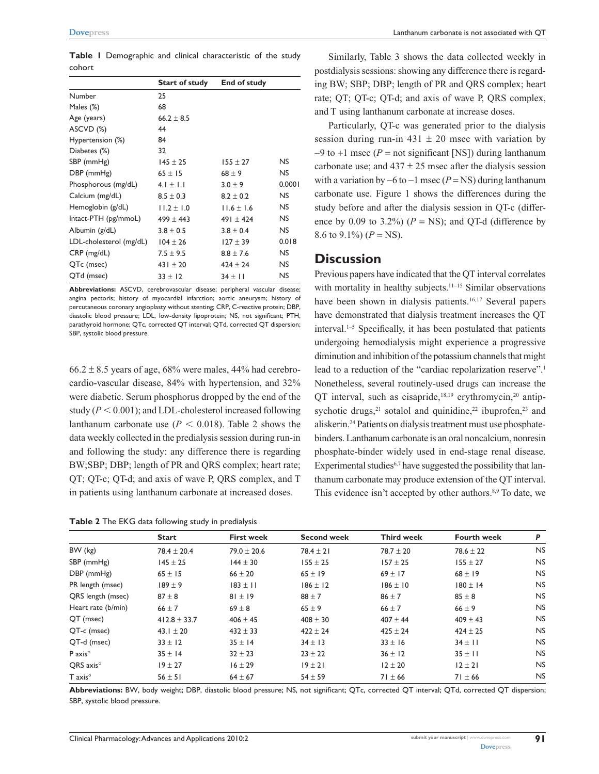**Table 1** Demographic and clinical characteristic of the study cohort

|                         | <b>Start of study</b> | End of study   |           |
|-------------------------|-----------------------|----------------|-----------|
| Number                  | 25                    |                |           |
| Males (%)               | 68                    |                |           |
| Age (years)             | $66.2 \pm 8.5$        |                |           |
| ASCVD (%)               | 44                    |                |           |
| Hypertension (%)        | 84                    |                |           |
| Diabetes (%)            | 32                    |                |           |
| SBP (mmHg)              | $145 \pm 25$          | $155 \pm 27$   | NS.       |
| $DBP$ (mmHg)            | $65 \pm 15$           | $68 \pm 9$     | NS.       |
| Phosphorous (mg/dL)     | $4.1 \pm 1.1$         | $3.0 \pm 9$    | 0.0001    |
| Calcium (mg/dL)         | $8.5 \pm 0.3$         | $8.2 \pm 0.2$  | NS.       |
| Hemoglobin (g/dL)       | $11.2 \pm 1.0$        | $11.6 \pm 1.6$ | NS.       |
| Intact-PTH (pg/mmoL)    | $499 \pm 443$         | $491 \pm 424$  | NS.       |
| Albumin (g/dL)          | $3.8 \pm 0.5$         | $3.8 \pm 0.4$  | NS.       |
| LDL-cholesterol (mg/dL) | $104 \pm 26$          | $127 \pm 39$   | 0.018     |
| $CRP$ (mg/dL)           | $7.5 \pm 9.5$         | $8.8 \pm 7.6$  | NS.       |
| QTc (msec)              | $431 \pm 20$          | $424 \pm 24$   | NS.       |
| QTd (msec)              | $33 \pm 12$           | $34 \pm 11$    | <b>NS</b> |

**Abbreviations:** ASCVD, cerebrovascular disease; peripheral vascular disease; angina pectoris; history of myocardial infarction; aortic aneurysm; history of percutaneous coronary angioplasty without stenting; CRP, C-reactive protein; DBP, diastolic blood pressure; LDL, low-density lipoprotein; NS, not significant; PTH, parathyroid hormone; QTc, corrected QT interval; QTd, corrected QT dispersion; SBP, systolic blood pressure.

 $66.2 \pm 8.5$  years of age,  $68\%$  were males,  $44\%$  had cerebrocardio-vascular disease, 84% with hypertension, and 32% were diabetic. Serum phosphorus dropped by the end of the study  $(P < 0.001)$ ; and LDL-cholesterol increased following lanthanum carbonate use  $(P < 0.018)$ . Table 2 shows the data weekly collected in the predialysis session during run-in and following the study: any difference there is regarding BW;SBP; DBP; length of PR and QRS complex; heart rate; QT; QT-c; QT-d; and axis of wave P, QRS complex, and T in patients using lanthanum carbonate at increased doses.

**Table 2** The EKG data following study in predialysis

Similarly, Table 3 shows the data collected weekly in postdialysis sessions: showing any difference there is regarding BW; SBP; DBP; length of PR and QRS complex; heart rate; QT; QT-c; QT-d; and axis of wave P, QRS complex, and T using lanthanum carbonate at increase doses.

Particularly, QT-c was generated prior to the dialysis session during run-in  $431 \pm 20$  msec with variation by  $-9$  to  $+1$  msec (*P* = not significant [NS]) during lanthanum carbonate use; and  $437 \pm 25$  msec after the dialysis session with a variation by  $-6$  to  $-1$  msec ( $P = NS$ ) during lanthanum carbonate use. Figure 1 shows the differences during the study before and after the dialysis session in QT-c (difference by 0.09 to 3.2%)  $(P = NS)$ ; and QT-d (difference by 8.6 to 9.1%)  $(P = NS)$ .

#### **Discussion**

Previous papers have indicated that the QT interval correlates with mortality in healthy subjects.<sup>11–15</sup> Similar observations have been shown in dialysis patients.<sup>16,17</sup> Several papers have demonstrated that dialysis treatment increases the QT interval. $1-5$  Specifically, it has been postulated that patients undergoing hemodialysis might experience a progressive diminution and inhibition of the potassium channels that might lead to a reduction of the "cardiac repolarization reserve".<sup>1</sup> Nonetheless, several routinely-used drugs can increase the QT interval, such as cisapride, $18,19$  erythromycin, $20$  antipsychotic drugs, $21$  sotalol and quinidine, $22$  ibuprofen, $23$  and aliskerin.24 Patients on dialysis treatment must use phosphatebinders. Lanthanum carbonate is an oral noncalcium, nonresin phosphate-binder widely used in end-stage renal disease. Experimental studies $6.7$  have suggested the possibility that lanthanum carbonate may produce extension of the QT interval. This evidence isn't accepted by other authors.<sup>8,9</sup> To date, we

|                       | <b>Start</b>     | <b>First week</b> | <b>Second week</b> | <b>Third week</b> | <b>Fourth week</b> | P         |  |
|-----------------------|------------------|-------------------|--------------------|-------------------|--------------------|-----------|--|
| BW (kg)               | $78.4 \pm 20.4$  | $79.0 \pm 20.6$   | $78.4 \pm 21$      | $78.7 \pm 20$     | $78.6 \pm 22$      | <b>NS</b> |  |
| SBP (mmHg)            | $145 \pm 25$     | $144 \pm 30$      | $155 \pm 25$       | $157 \pm 25$      | $155 \pm 27$       | <b>NS</b> |  |
| DBP (mmHg)            | $65 \pm 15$      | $66 \pm 20$       | $65 \pm 19$        | $69 \pm 17$       | $68 \pm 19$        | <b>NS</b> |  |
| PR length (msec)      | $189 \pm 9$      | $183 \pm 11$      | $186 \pm 12$       | $186 \pm 10$      | $180 \pm 14$       | <b>NS</b> |  |
| QRS length (msec)     | $87 \pm 8$       | $81 \pm 19$       | $88 \pm 7$         | $86 \pm 7$        | $85 \pm 8$         | <b>NS</b> |  |
| Heart rate (b/min)    | $66 \pm 7$       | $69 \pm 8$        | $65 \pm 9$         | $66 \pm 7$        | $66 \pm 9$         | <b>NS</b> |  |
| QT (msec)             | $412.8 \pm 33.7$ | $406 \pm 45$      | $408 \pm 30$       | $407 \pm 44$      | $409 \pm 43$       | <b>NS</b> |  |
| QT-c (msec)           | 43.1 $\pm$ 20    | $432 \pm 33$      | $422 \pm 24$       | $425 \pm 24$      | $424 \pm 25$       | <b>NS</b> |  |
| QT-d (msec)           | $33 \pm 12$      | $35 \pm 14$       | $34 \pm 13$        | $33 \pm 16$       | $34 \pm 11$        | <b>NS</b> |  |
| $P$ axis $^{\circ}$   | $35 \pm 14$      | $32 \pm 23$       | $23 \pm 22$        | $36 \pm 12$       | $35 \pm 11$        | <b>NS</b> |  |
| QRS axis <sup>o</sup> | $19 \pm 27$      | $16 \pm 29$       | $19 \pm 21$        | $12 \pm 20$       | $12 \pm 21$        | <b>NS</b> |  |
| $T$ axis $^{\circ}$   | $56 \pm 51$      | $64 \pm 67$       | $54 \pm 59$        | $71 \pm 66$       | $71 \pm 66$        | <b>NS</b> |  |

**Abbreviations:** BW, body weight; DBP, diastolic blood pressure; NS, not significant; QTc, corrected QT interval; QTd, corrected QT dispersion; SBP, systolic blood pressure.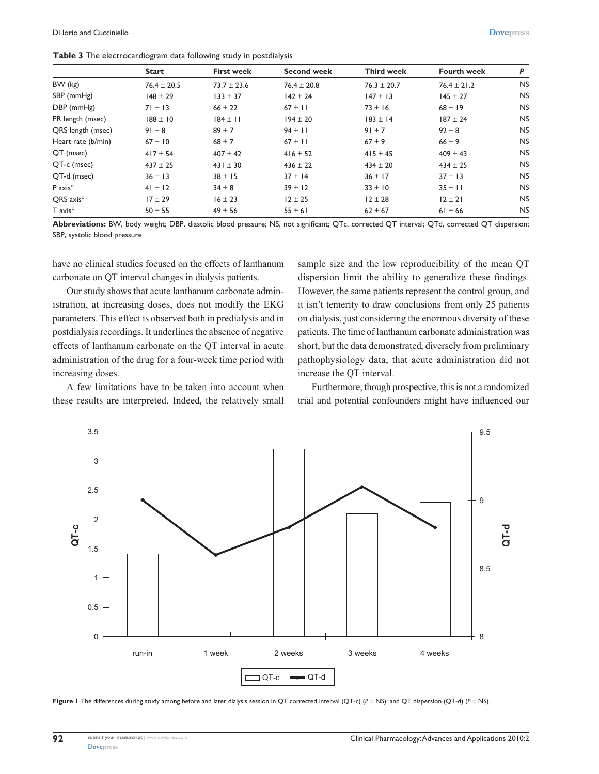**Table 3** The electrocardiogram data following study in postdialysis

|                       | <b>Start</b>    | <b>First week</b> | <b>Second week</b> | <b>Third week</b> | <b>Fourth week</b> | P         |
|-----------------------|-----------------|-------------------|--------------------|-------------------|--------------------|-----------|
| $BW$ ( $kg$ )         | $76.4 \pm 20.5$ | $73.7 \pm 23.6$   | $76.4 \pm 20.8$    | $76.3 \pm 20.7$   | $76.4 \pm 21.2$    | <b>NS</b> |
| SBP (mmHg)            | $148 \pm 29$    | $133 \pm 37$      | $142 \pm 24$       | $147 \pm 13$      | $145 \pm 27$       | <b>NS</b> |
| DBP (mmHg)            | $71 \pm 13$     | $66 \pm 22$       | $67 \pm 11$        | $73 \pm 16$       | $68 \pm 19$        | <b>NS</b> |
| PR length (msec)      | $188 \pm 10$    | $184 \pm 11$      | $194 \pm 20$       | $183 \pm 14$      | $187 \pm 24$       | <b>NS</b> |
| QRS length (msec)     | $91 \pm 8$      | $89 + 7$          | $94 \pm 11$        | $91 \pm 7$        | $92 \pm 8$         | <b>NS</b> |
| Heart rate (b/min)    | $67 \pm 10$     | $68 \pm 7$        | $67 \pm 11$        | $67 + 9$          | $66 \pm 9$         | <b>NS</b> |
| QT (msec)             | $417 \pm 54$    | $407 \pm 42$      | $416 \pm 52$       | $415 \pm 45$      | $409 \pm 43$       | <b>NS</b> |
| QT-c (msec)           | $437 \pm 25$    | $431 \pm 30$      | $436 \pm 22$       | $434 \pm 20$      | $434 \pm 25$       | <b>NS</b> |
| QT-d (msec)           | $36 \pm 13$     | $38 \pm 15$       | $37 \pm 14$        | $36 \pm 17$       | $37 \pm 13$        | <b>NS</b> |
| P axis <sup>o</sup>   | $41 \pm 12$     | $34 \pm 8$        | $39 \pm 12$        | $33 \pm 10$       | $35 \pm 11$        | <b>NS</b> |
| QRS axis <sup>o</sup> | $17 \pm 29$     | $16 \pm 23$       | $12 \pm 25$        | $12 \pm 28$       | $12 \pm 21$        | <b>NS</b> |
| $T$ axis $^{\circ}$   | $50 \pm 55$     | $49 \pm 56$       | $55 \pm 61$        | $62 \pm 67$       | $61 \pm 66$        | <b>NS</b> |

**Abbreviations:** BW, body weight; DBP, diastolic blood pressure; NS, not significant; QTc, corrected QT interval; QTd, corrected QT dispersion; SBP, systolic blood pressure.

have no clinical studies focused on the effects of lanthanum carbonate on QT interval changes in dialysis patients.

Our study shows that acute lanthanum carbonate administration, at increasing doses, does not modify the EKG parameters. This effect is observed both in predialysis and in postdialysis recordings. It underlines the absence of negative effects of lanthanum carbonate on the QT interval in acute administration of the drug for a four-week time period with increasing doses.

A few limitations have to be taken into account when these results are interpreted. Indeed, the relatively small sample size and the low reproducibility of the mean QT dispersion limit the ability to generalize these findings. However, the same patients represent the control group, and it isn't temerity to draw conclusions from only 25 patients on dialysis, just considering the enormous diversity of these patients. The time of lanthanum carbonate administration was short, but the data demonstrated, diversely from preliminary pathophysiology data, that acute administration did not increase the QT interval.

Furthermore, though prospective, this is not a randomized trial and potential confounders might have influenced our



**Figure 1** The differences during study among before and later dialysis session in QT corrected interval (QT-c) (*P* = NS); and QT dispersion (QT-d) (*P* = NS).